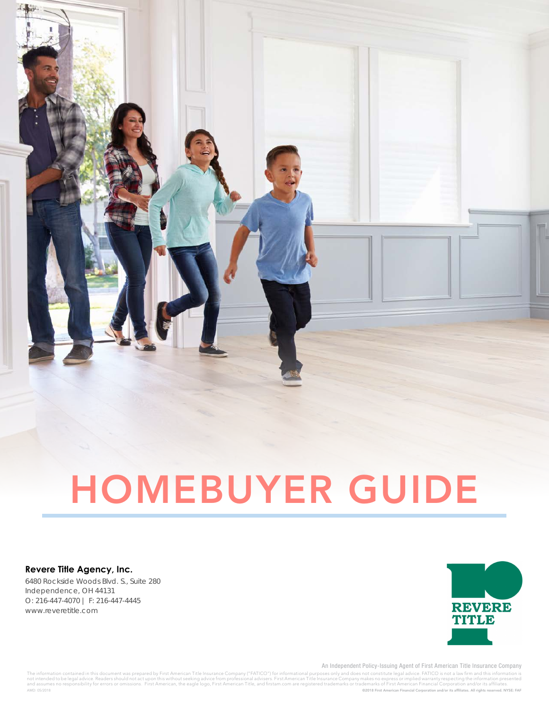

# HOMEBUYER GUIDE

#### **Revere Title Agency, Inc.**

6480 Rockside Woods Blvd. S., Suite 280 Independence, OH 44131 O: 216-447-4070 | F: 216-447-4445 www.reveretitle.com



An Independent Policy-Issuing Agent of First American Title Insurance Company

©2018 First American Financial Corporation and/or its affiliates. All rights reserved. NYSE: FAF The information contained in this document was prepared by First American Title Insurance Company ("FATICO") for informational purposes only and does not constitute legal advice. FATICO is not a law firm and this informati AMD: 05/2018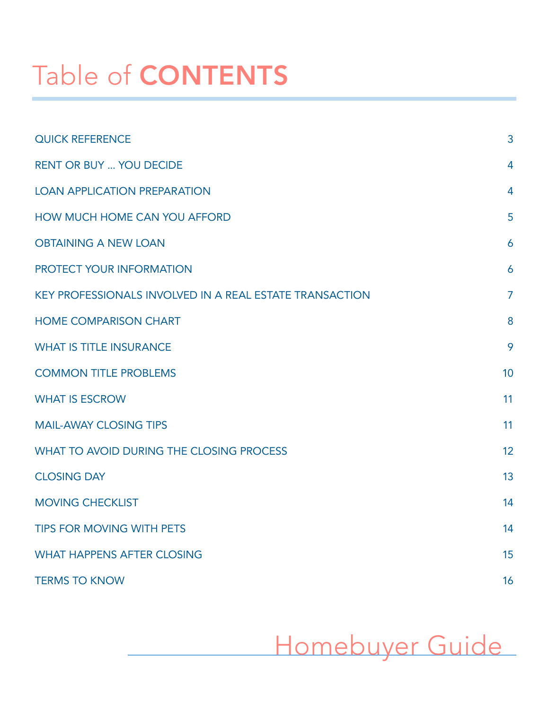# Table of CONTENTS

| <b>QUICK REFERENCE</b>                                  | 3              |
|---------------------------------------------------------|----------------|
| <b>RENT OR BUY  YOU DECIDE</b>                          | 4              |
| <b>LOAN APPLICATION PREPARATION</b>                     | $\overline{4}$ |
| HOW MUCH HOME CAN YOU AFFORD                            | 5              |
| <b>OBTAINING A NEW LOAN</b>                             | 6              |
| PROTECT YOUR INFORMATION                                | 6              |
| KEY PROFESSIONALS INVOLVED IN A REAL ESTATE TRANSACTION | $\overline{7}$ |
| <b>HOME COMPARISON CHART</b>                            | 8              |
| <b>WHAT IS TITLE INSURANCE</b>                          | 9              |
| <b>COMMON TITLE PROBLEMS</b>                            | 10             |
| <b>WHAT IS ESCROW</b>                                   | 11             |
| <b>MAIL-AWAY CLOSING TIPS</b>                           | 11             |
| WHAT TO AVOID DURING THE CLOSING PROCESS                | 12             |
| <b>CLOSING DAY</b>                                      | 13             |
| <b>MOVING CHECKLIST</b>                                 | 14             |
| <b>TIPS FOR MOVING WITH PETS</b>                        | 14             |
| <b>WHAT HAPPENS AFTER CLOSING</b>                       | 15             |
| <b>TERMS TO KNOW</b>                                    | 16             |

Homebuyer Guide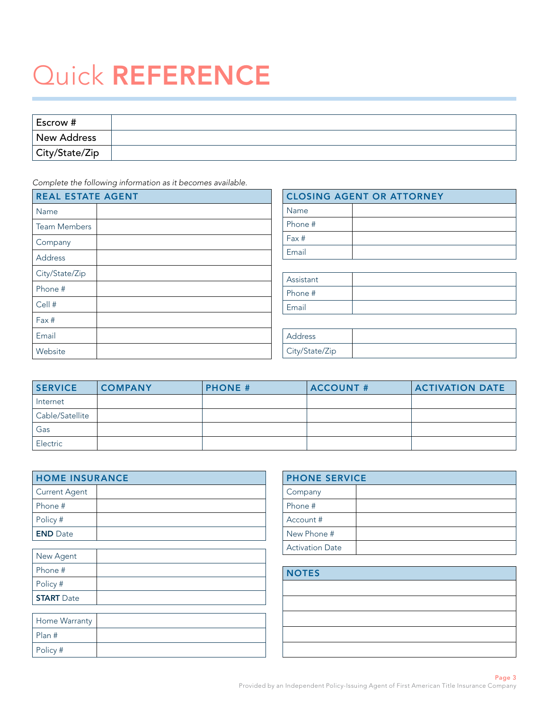# Quick REFERENCE

| Escrow #           |  |
|--------------------|--|
| <b>New Address</b> |  |
| City/State/Zip     |  |

*Complete the following information as it becomes available.* 

| <b>REAL ESTATE AGENT</b> | <b>CLOSING AGENT OR ATTORNEY</b> |
|--------------------------|----------------------------------|
| Name                     | Name                             |
| <b>Team Members</b>      | Phone #                          |
| Company                  | Fax#                             |
| Address                  | Email                            |
| City/State/Zip           |                                  |
| Phone #                  | Assistant                        |
|                          | Phone #                          |
| Cell #                   | Email                            |
| Fax #                    |                                  |
| Email                    | Address                          |
| Website                  | City/State/Zip                   |

| <b>SERVICE</b>  | <b>COMPANY</b> | <b>PHONE #</b> | <b>ACCOUNT #</b> | <b>ACTIVATION DATE</b> |
|-----------------|----------------|----------------|------------------|------------------------|
| Internet        |                |                |                  |                        |
| Cable/Satellite |                |                |                  |                        |
| Gas             |                |                |                  |                        |
| Electric        |                |                |                  |                        |

| <b>HOME INSURANCE</b> |  |
|-----------------------|--|
| Current Agent         |  |
| Phone #               |  |
| Policy #              |  |
| <b>END</b> Date       |  |

| New Agent         |  |
|-------------------|--|
| l Phone #         |  |
| Policy #          |  |
| <b>START</b> Date |  |

| Home Warranty |  |
|---------------|--|
| Plan #        |  |
| Policy #      |  |

| <b>PHONE SERVICE</b>   |  |
|------------------------|--|
| Company                |  |
| Phone #                |  |
| Account #              |  |
| New Phone #            |  |
| <b>Activation Date</b> |  |

# **NOTES**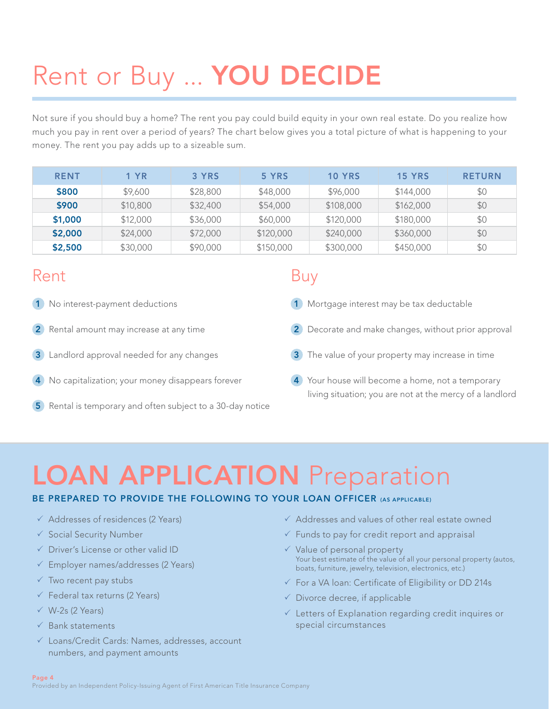# Rent or Buy ... YOU DECIDE

Not sure if you should buy a home? The rent you pay could build equity in your own real estate. Do you realize how much you pay in rent over a period of years? The chart below gives you a total picture of what is happening to your money. The rent you pay adds up to a sizeable sum.

| <b>RENT</b> | <b>1 YR</b> | 3 YRS    | 5 YRS     | <b>10 YRS</b> | <b>15 YRS</b> | <b>RETURN</b> |
|-------------|-------------|----------|-----------|---------------|---------------|---------------|
| \$800       | \$9,600     | \$28,800 | \$48,000  | \$96,000      | \$144,000     | \$0           |
| \$900       | \$10,800    | \$32,400 | \$54,000  | \$108,000     | \$162,000     | \$0           |
| \$1,000     | \$12,000    | \$36,000 | \$60,000  | \$120,000     | \$180,000     | \$0           |
| \$2,000     | \$24,000    | \$72,000 | \$120,000 | \$240,000     | \$360,000     | \$0           |
| \$2,500     | \$30,000    | \$90,000 | \$150,000 | \$300,000     | \$450,000     | \$0           |

# Rent

- 1 No interest-payment deductions
- **2** Rental amount may increase at any time
- 3 Landlord approval needed for any changes
- 4 No capitalization; your money disappears forever
- 5 Rental is temporary and often subject to a 30-day notice

# Buy

- 1 Mortgage interest may be tax deductable
- 2 Decorate and make changes, without prior approval
- 3 The value of your property may increase in time
- **4** Your house will become a home, not a temporary living situation; you are not at the mercy of a landlord

# LOAN APPLICATION Preparation

# BE PREPARED TO PROVIDE THE FOLLOWING TO YOUR LOAN OFFICER (AS APPLICABLE)

- $\checkmark$  Addresses of residences (2 Years)
- $\checkmark$  Social Security Number
- $\sqrt{ }$  Driver's License or other valid ID
- $\checkmark$  Employer names/addresses (2 Years)
- $\checkmark$  Two recent pay stubs
- $\checkmark$  Federal tax returns (2 Years)
- $\checkmark$  W-2s (2 Years)
- $\checkmark$  Bank statements
- $\checkmark$  Loans/Credit Cards: Names, addresses, account numbers, and payment amounts
- $\checkmark$  Addresses and values of other real estate owned
- $\checkmark$  Funds to pay for credit report and appraisal
- $\checkmark$  Value of personal property Your best estimate of the value of all your personal property (autos, boats, furniture, jewelry, television, electronics, etc.)
- $\checkmark$  For a VA loan: Certificate of Eligibility or DD 214s
- $\checkmark$  Divorce decree, if applicable
- $\checkmark$  Letters of Explanation regarding credit inquires or special circumstances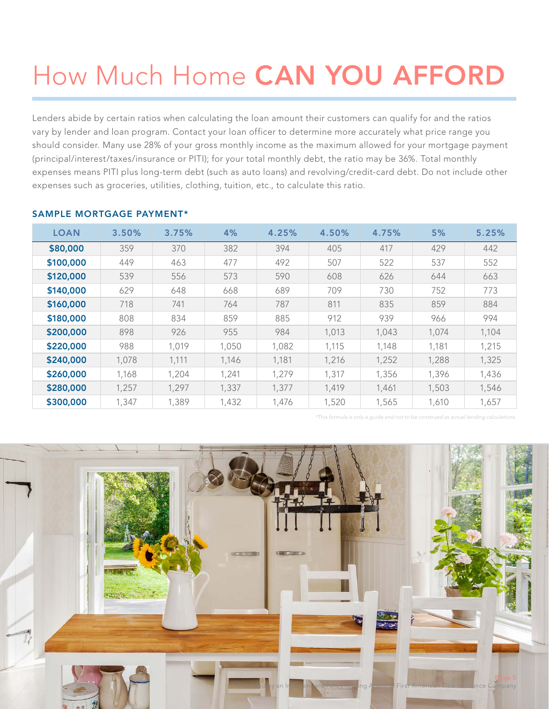# How Much Home CAN YOU AFFORD

Lenders abide by certain ratios when calculating the loan amount their customers can qualify for and the ratios vary by lender and loan program. Contact your loan officer to determine more accurately what price range you should consider. Many use 28% of your gross monthly income as the maximum allowed for your mortgage payment (principal/interest/taxes/insurance or PITI); for your total monthly debt, the ratio may be 36%. Total monthly expenses means PITI plus long-term debt (such as auto loans) and revolving/credit-card debt. Do not include other expenses such as groceries, utilities, clothing, tuition, etc., to calculate this ratio.

| <b>LOAN</b> | 3.50% | 3.75% | 4%    | 4.25% | 4.50% | 4.75% | 5%    | 5.25% |
|-------------|-------|-------|-------|-------|-------|-------|-------|-------|
| \$80,000    | 359   | 370   | 382   | 394   | 405   | 417   | 429   | 442   |
| \$100,000   | 449   | 463   | 477   | 492   | 507   | 522   | 537   | 552   |
| \$120,000   | 539   | 556   | 573   | 590   | 608   | 626   | 644   | 663   |
| \$140,000   | 629   | 648   | 668   | 689   | 709   | 730   | 752   | 773   |
| \$160,000   | 718   | 741   | 764   | 787   | 811   | 835   | 859   | 884   |
| \$180,000   | 808   | 834   | 859   | 885   | 912   | 939   | 966   | 994   |
| \$200,000   | 898   | 926   | 955   | 984   | 1,013 | 1,043 | 1,074 | 1,104 |
| \$220,000   | 988   | 1,019 | 1,050 | 1,082 | 1,115 | 1,148 | 1,181 | 1,215 |
| \$240,000   | 1,078 | 1,111 | 1,146 | 1,181 | 1,216 | 1,252 | 1,288 | 1,325 |
| \$260,000   | 1,168 | 1,204 | 1,241 | 1,279 | 1.317 | 1,356 | 1,396 | 1,436 |
| \$280,000   | 1,257 | 1,297 | 1,337 | 1.377 | 1,419 | 1,461 | 1,503 | 1,546 |
| \$300,000   | 1,347 | 1,389 | 1,432 | 1,476 | 1,520 | 1,565 | 1,610 | 1,657 |

# SAMPLE MORTGAGE PAYMENT\*

*\*This formula is only a guide and not to be construed as actual lending calculations.*

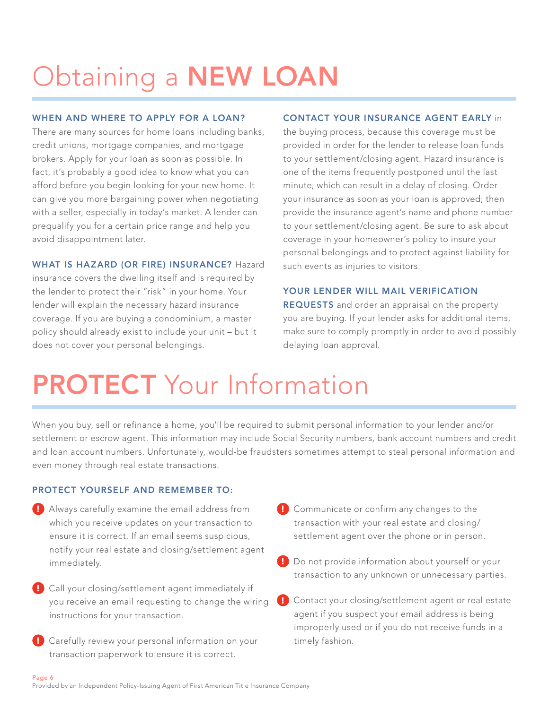# Obtaining a NEW LOAN

# WHEN AND WHERE TO APPLY FOR A LOAN?

There are many sources for home loans including banks, credit unions, mortgage companies, and mortgage brokers. Apply for your loan as soon as possible. In fact, it's probably a good idea to know what you can afford before you begin looking for your new home. It can give you more bargaining power when negotiating with a seller, especially in today's market. A lender can prequalify you for a certain price range and help you avoid disappointment later.

### WHAT IS HAZARD (OR FIRE) INSURANCE? Hazard

insurance covers the dwelling itself and is required by the lender to protect their "risk" in your home. Your lender will explain the necessary hazard insurance coverage. If you are buying a condominium, a master policy should already exist to include your unit – but it does not cover your personal belongings.

## CONTACT YOUR INSURANCE AGENT EARLY in

the buying process, because this coverage must be provided in order for the lender to release loan funds to your settlement/closing agent. Hazard insurance is one of the items frequently postponed until the last minute, which can result in a delay of closing. Order your insurance as soon as your loan is approved; then provide the insurance agent's name and phone number to your settlement/closing agent. Be sure to ask about coverage in your homeowner's policy to insure your personal belongings and to protect against liability for such events as injuries to visitors.

## YOUR LENDER WILL MAIL VERIFICATION

REQUESTS and order an appraisal on the property you are buying. If your lender asks for additional items, make sure to comply promptly in order to avoid possibly delaying loan approval.

# **PROTECT** Your Information

When you buy, sell or refinance a home, you'll be required to submit personal information to your lender and/or settlement or escrow agent. This information may include Social Security numbers, bank account numbers and credit and loan account numbers. Unfortunately, would-be fraudsters sometimes attempt to steal personal information and even money through real estate transactions.

## PROTECT YOURSELF AND REMEMBER TO:

- ! Always carefully examine the email address from which you receive updates on your transaction to ensure it is correct. If an email seems suspicious, notify your real estate and closing/settlement agent immediately.
- ! Call your closing/settlement agent immediately if you receive an email requesting to change the wiring instructions for your transaction.
- **I** Carefully review your personal information on your transaction paperwork to ensure it is correct.
- **E** Communicate or confirm any changes to the transaction with your real estate and closing/ settlement agent over the phone or in person.
- ! Do not provide information about yourself or your transaction to any unknown or unnecessary parties.
- ! Contact your closing/settlement agent or real estate agent if you suspect your email address is being improperly used or if you do not receive funds in a timely fashion.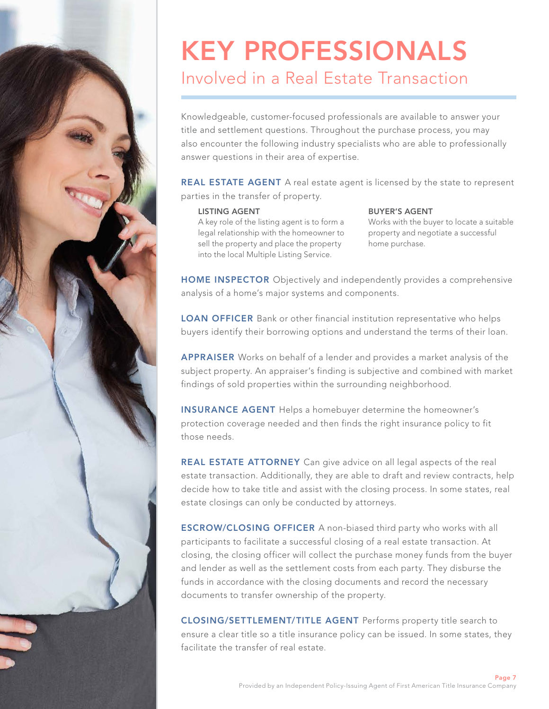# KEY PROFESSIONALS Involved in a Real Estate Transaction

Knowledgeable, customer-focused professionals are available to answer your title and settlement questions. Throughout the purchase process, you may also encounter the following industry specialists who are able to professionally answer questions in their area of expertise.

REAL ESTATE AGENT A real estate agent is licensed by the state to represent parties in the transfer of property.

#### LISTING AGENT

A key role of the listing agent is to form a legal relationship with the homeowner to sell the property and place the property into the local Multiple Listing Service.

# BUYER'S AGENT

Works with the buyer to locate a suitable property and negotiate a successful home purchase.

HOME INSPECTOR Objectively and independently provides a comprehensive analysis of a home's major systems and components.

LOAN OFFICER Bank or other financial institution representative who helps buyers identify their borrowing options and understand the terms of their loan.

APPRAISER Works on behalf of a lender and provides a market analysis of the subject property. An appraiser's finding is subjective and combined with market findings of sold properties within the surrounding neighborhood.

INSURANCE AGENT Helps a homebuyer determine the homeowner's protection coverage needed and then finds the right insurance policy to fit those needs.

REAL ESTATE ATTORNEY Can give advice on all legal aspects of the real estate transaction. Additionally, they are able to draft and review contracts, help decide how to take title and assist with the closing process. In some states, real estate closings can only be conducted by attorneys.

ESCROW/CLOSING OFFICER A non-biased third party who works with all participants to facilitate a successful closing of a real estate transaction. At closing, the closing officer will collect the purchase money funds from the buyer and lender as well as the settlement costs from each party. They disburse the funds in accordance with the closing documents and record the necessary documents to transfer ownership of the property.

CLOSING/SETTLEMENT/TITLE AGENT Performs property title search to ensure a clear title so a title insurance policy can be issued. In some states, they facilitate the transfer of real estate.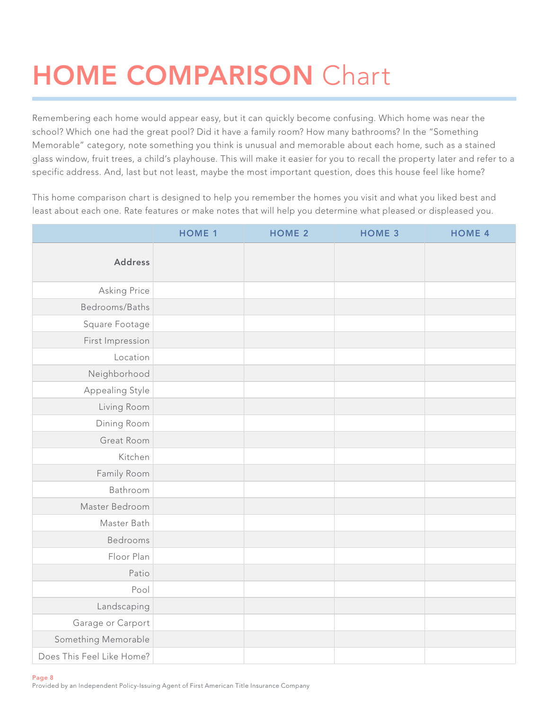# HOME COMPARISON Chart

Remembering each home would appear easy, but it can quickly become confusing. Which home was near the school? Which one had the great pool? Did it have a family room? How many bathrooms? In the "Something Memorable" category, note something you think is unusual and memorable about each home, such as a stained glass window, fruit trees, a child's playhouse. This will make it easier for you to recall the property later and refer to a specific address. And, last but not least, maybe the most important question, does this house feel like home?

This home comparison chart is designed to help you remember the homes you visit and what you liked best and least about each one. Rate features or make notes that will help you determine what pleased or displeased you.

|                           | <b>HOME 1</b> | <b>HOME 2</b> | <b>HOME 3</b> | <b>HOME 4</b> |
|---------------------------|---------------|---------------|---------------|---------------|
| <b>Address</b>            |               |               |               |               |
| Asking Price              |               |               |               |               |
| Bedrooms/Baths            |               |               |               |               |
| Square Footage            |               |               |               |               |
| First Impression          |               |               |               |               |
| Location                  |               |               |               |               |
| Neighborhood              |               |               |               |               |
| Appealing Style           |               |               |               |               |
| Living Room               |               |               |               |               |
| Dining Room               |               |               |               |               |
| Great Room                |               |               |               |               |
| Kitchen                   |               |               |               |               |
| Family Room               |               |               |               |               |
| Bathroom                  |               |               |               |               |
| Master Bedroom            |               |               |               |               |
| Master Bath               |               |               |               |               |
| Bedrooms                  |               |               |               |               |
| Floor Plan                |               |               |               |               |
| Patio                     |               |               |               |               |
| Pool                      |               |               |               |               |
| Landscaping               |               |               |               |               |
| Garage or Carport         |               |               |               |               |
| Something Memorable       |               |               |               |               |
| Does This Feel Like Home? |               |               |               |               |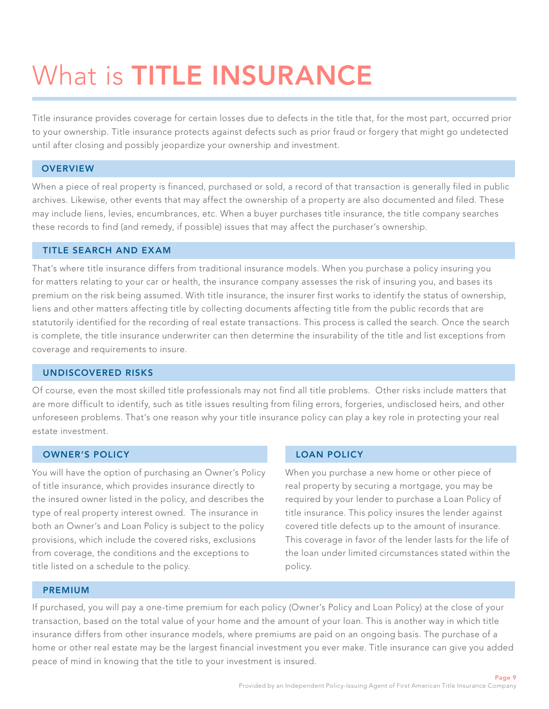# What is **TITLE INSURANCE**

Title insurance provides coverage for certain losses due to defects in the title that, for the most part, occurred prior to your ownership. Title insurance protects against defects such as prior fraud or forgery that might go undetected until after closing and possibly jeopardize your ownership and investment.

# **OVERVIEW**

When a piece of real property is financed, purchased or sold, a record of that transaction is generally filed in public archives. Likewise, other events that may affect the ownership of a property are also documented and filed. These may include liens, levies, encumbrances, etc. When a buyer purchases title insurance, the title company searches these records to find (and remedy, if possible) issues that may affect the purchaser's ownership.

## TITLE SEARCH AND EXAM

That's where title insurance differs from traditional insurance models. When you purchase a policy insuring you for matters relating to your car or health, the insurance company assesses the risk of insuring you, and bases its premium on the risk being assumed. With title insurance, the insurer first works to identify the status of ownership, liens and other matters affecting title by collecting documents affecting title from the public records that are statutorily identified for the recording of real estate transactions. This process is called the search. Once the search is complete, the title insurance underwriter can then determine the insurability of the title and list exceptions from coverage and requirements to insure.

### UNDISCOVERED RISKS

Of course, even the most skilled title professionals may not find all title problems. Other risks include matters that are more difficult to identify, such as title issues resulting from filing errors, forgeries, undisclosed heirs, and other unforeseen problems. That's one reason why your title insurance policy can play a key role in protecting your real estate investment.

## OWNER'S POLICY

You will have the option of purchasing an Owner's Policy of title insurance, which provides insurance directly to the insured owner listed in the policy, and describes the type of real property interest owned. The insurance in both an Owner's and Loan Policy is subject to the policy provisions, which include the covered risks, exclusions from coverage, the conditions and the exceptions to title listed on a schedule to the policy.

# LOAN POLICY

When you purchase a new home or other piece of real property by securing a mortgage, you may be required by your lender to purchase a Loan Policy of title insurance. This policy insures the lender against covered title defects up to the amount of insurance. This coverage in favor of the lender lasts for the life of the loan under limited circumstances stated within the policy.

### PREMIUM

If purchased, you will pay a one-time premium for each policy (Owner's Policy and Loan Policy) at the close of your transaction, based on the total value of your home and the amount of your loan. This is another way in which title insurance differs from other insurance models, where premiums are paid on an ongoing basis. The purchase of a home or other real estate may be the largest financial investment you ever make. Title insurance can give you added peace of mind in knowing that the title to your investment is insured.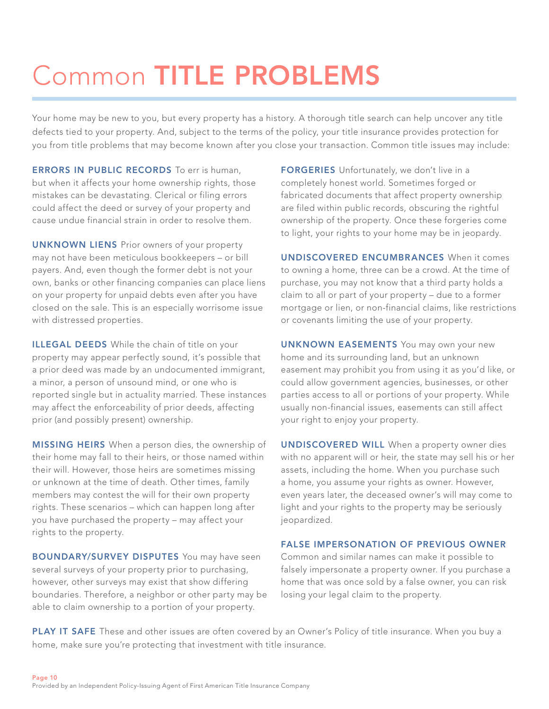# Common TITLE PROBLEMS

Your home may be new to you, but every property has a history. A thorough title search can help uncover any title defects tied to your property. And, subject to the terms of the policy, your title insurance provides protection for you from title problems that may become known after you close your transaction. Common title issues may include:

**ERRORS IN PUBLIC RECORDS** To err is human, but when it affects your home ownership rights, those mistakes can be devastating. Clerical or filing errors could affect the deed or survey of your property and cause undue financial strain in order to resolve them.

UNKNOWN LIENS Prior owners of your property may not have been meticulous bookkeepers – or bill payers. And, even though the former debt is not your own, banks or other financing companies can place liens on your property for unpaid debts even after you have closed on the sale. This is an especially worrisome issue with distressed properties.

**ILLEGAL DEEDS** While the chain of title on your property may appear perfectly sound, it's possible that a prior deed was made by an undocumented immigrant, a minor, a person of unsound mind, or one who is reported single but in actuality married. These instances may affect the enforceability of prior deeds, affecting prior (and possibly present) ownership.

**MISSING HEIRS** When a person dies, the ownership of their home may fall to their heirs, or those named within their will. However, those heirs are sometimes missing or unknown at the time of death. Other times, family members may contest the will for their own property rights. These scenarios – which can happen long after you have purchased the property – may affect your rights to the property.

**BOUNDARY/SURVEY DISPUTES** You may have seen several surveys of your property prior to purchasing, however, other surveys may exist that show differing boundaries. Therefore, a neighbor or other party may be able to claim ownership to a portion of your property.

FORGERIES Unfortunately, we don't live in a completely honest world. Sometimes forged or fabricated documents that affect property ownership are filed within public records, obscuring the rightful ownership of the property. Once these forgeries come to light, your rights to your home may be in jeopardy.

UNDISCOVERED ENCUMBRANCES When it comes to owning a home, three can be a crowd. At the time of purchase, you may not know that a third party holds a claim to all or part of your property – due to a former mortgage or lien, or non-financial claims, like restrictions or covenants limiting the use of your property.

UNKNOWN EASEMENTS You may own your new home and its surrounding land, but an unknown easement may prohibit you from using it as you'd like, or could allow government agencies, businesses, or other parties access to all or portions of your property. While usually non-financial issues, easements can still affect your right to enjoy your property.

UNDISCOVERED WILL When a property owner dies with no apparent will or heir, the state may sell his or her assets, including the home. When you purchase such a home, you assume your rights as owner. However, even years later, the deceased owner's will may come to light and your rights to the property may be seriously jeopardized.

## FALSE IMPERSONATION OF PREVIOUS OWNER

Common and similar names can make it possible to falsely impersonate a property owner. If you purchase a home that was once sold by a false owner, you can risk losing your legal claim to the property.

PLAY IT SAFE These and other issues are often covered by an Owner's Policy of title insurance. When you buy a home, make sure you're protecting that investment with title insurance.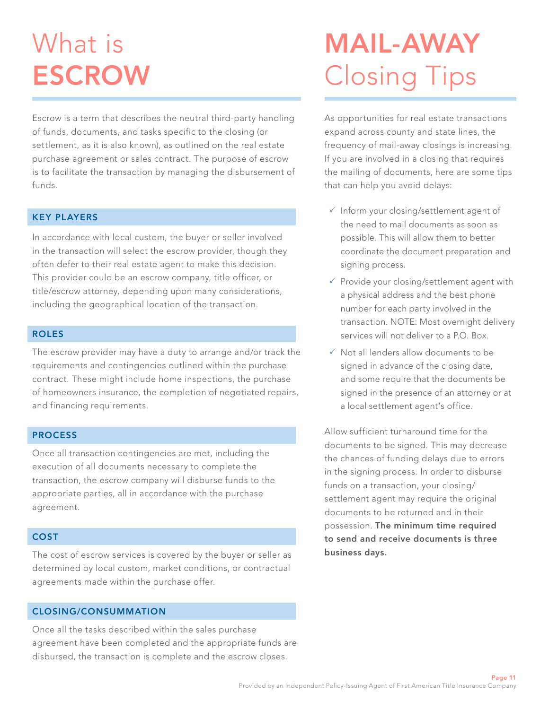# What is **ESCROW**

Escrow is a term that describes the neutral third-party handling of funds, documents, and tasks specific to the closing (or settlement, as it is also known), as outlined on the real estate purchase agreement or sales contract. The purpose of escrow is to facilitate the transaction by managing the disbursement of funds.

## KEY PLAYERS

In accordance with local custom, the buyer or seller involved in the transaction will select the escrow provider, though they often defer to their real estate agent to make this decision. This provider could be an escrow company, title officer, or title/escrow attorney, depending upon many considerations, including the geographical location of the transaction.

#### ROLES

The escrow provider may have a duty to arrange and/or track the requirements and contingencies outlined within the purchase contract. These might include home inspections, the purchase of homeowners insurance, the completion of negotiated repairs, and financing requirements.

### PROCESS

Once all transaction contingencies are met, including the execution of all documents necessary to complete the transaction, the escrow company will disburse funds to the appropriate parties, all in accordance with the purchase agreement.

### **COST**

The cost of escrow services is covered by the buyer or seller as determined by local custom, market conditions, or contractual agreements made within the purchase offer.

# CLOSING/CONSUMMATION

Once all the tasks described within the sales purchase agreement have been completed and the appropriate funds are disbursed, the transaction is complete and the escrow closes.

# MAIL-AWAY Closing Tips

As opportunities for real estate transactions expand across county and state lines, the frequency of mail-away closings is increasing. If you are involved in a closing that requires the mailing of documents, here are some tips that can help you avoid delays:

- $\checkmark$  Inform your closing/settlement agent of the need to mail documents as soon as possible. This will allow them to better coordinate the document preparation and signing process.
- $\checkmark$  Provide your closing/settlement agent with a physical address and the best phone number for each party involved in the transaction. NOTE: Most overnight delivery services will not deliver to a P.O. Box.
- $\checkmark$  Not all lenders allow documents to be signed in advance of the closing date, and some require that the documents be signed in the presence of an attorney or at a local settlement agent's office.

Allow sufficient turnaround time for the documents to be signed. This may decrease the chances of funding delays due to errors in the signing process. In order to disburse funds on a transaction, your closing/ settlement agent may require the original documents to be returned and in their possession. The minimum time required to send and receive documents is three business days.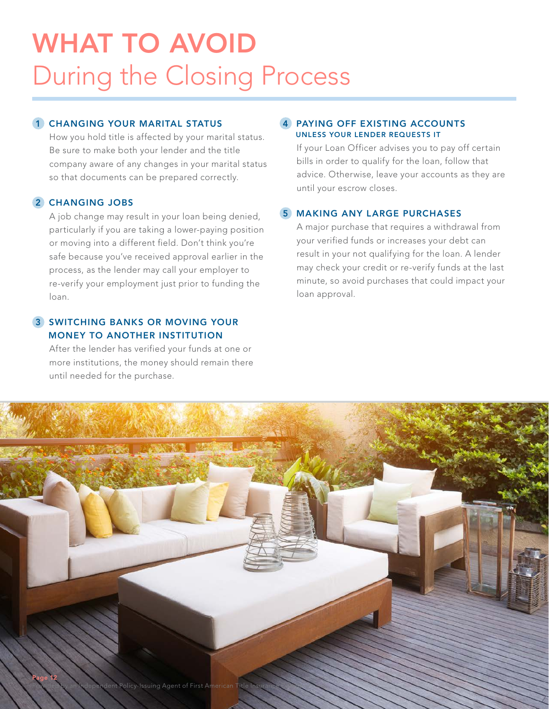# WHAT TO AVOID During the Closing Process

# 1 CHANGING YOUR MARITAL STATUS

How you hold title is affected by your marital status. Be sure to make both your lender and the title company aware of any changes in your marital status so that documents can be prepared correctly.

## 2 CHANGING JOBS

A job change may result in your loan being denied, particularly if you are taking a lower-paying position or moving into a different field. Don't think you're safe because you've received approval earlier in the process, as the lender may call your employer to re-verify your employment just prior to funding the loan.

# **3 SWITCHING BANKS OR MOVING YOUR** MONEY TO ANOTHER INSTITUTION

After the lender has verified your funds at one or more institutions, the money should remain there until needed for the purchase.

# 4 PAYING OFF EXISTING ACCOUNTS UNLESS YOUR LENDER REQUESTS IT

If your Loan Officer advises you to pay off certain bills in order to qualify for the loan, follow that advice. Otherwise, leave your accounts as they are until your escrow closes.

# 5 MAKING ANY LARGE PURCHASES

A major purchase that requires a withdrawal from your verified funds or increases your debt can result in your not qualifying for the loan. A lender may check your credit or re-verify funds at the last minute, so avoid purchases that could impact your loan approval.

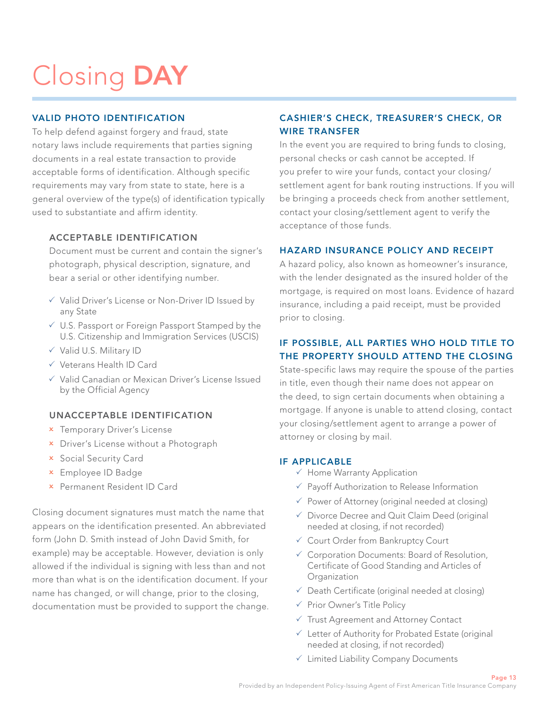# Closing DAY

# VALID PHOTO IDENTIFICATION

To help defend against forgery and fraud, state notary laws include requirements that parties signing documents in a real estate transaction to provide acceptable forms of identification. Although specific requirements may vary from state to state, here is a general overview of the type(s) of identification typically used to substantiate and affirm identity.

# ACCEPTABLE IDENTIFICATION

Document must be current and contain the signer's photograph, physical description, signature, and bear a serial or other identifying number.

- $\checkmark$  Valid Driver's License or Non-Driver ID Issued by any State
- $\sqrt{2}$  U.S. Passport or Foreign Passport Stamped by the U.S. Citizenship and Immigration Services (USCIS)
- $\checkmark$  Valid U.S. Military ID
- 3 Veterans Health ID Card
- $\checkmark$  Valid Canadian or Mexican Driver's License Issued by the Official Agency

## UNACCEPTABLE IDENTIFICATION

- **x** Temporary Driver's License
- **x** Driver's License without a Photograph
- 2 Social Security Card
- 2 Employee ID Badge
- 2 Permanent Resident ID Card

Closing document signatures must match the name that appears on the identification presented. An abbreviated form (John D. Smith instead of John David Smith, for example) may be acceptable. However, deviation is only allowed if the individual is signing with less than and not more than what is on the identification document. If your name has changed, or will change, prior to the closing, documentation must be provided to support the change.

# CASHIER'S CHECK, TREASURER'S CHECK, OR WIRE TRANSFER

In the event you are required to bring funds to closing, personal checks or cash cannot be accepted. If you prefer to wire your funds, contact your closing/ settlement agent for bank routing instructions. If you will be bringing a proceeds check from another settlement, contact your closing/settlement agent to verify the acceptance of those funds.

## HAZARD INSURANCE POLICY AND RECEIPT

A hazard policy, also known as homeowner's insurance, with the lender designated as the insured holder of the mortgage, is required on most loans. Evidence of hazard insurance, including a paid receipt, must be provided prior to closing.

# IF POSSIBLE, ALL PARTIES WHO HOLD TITLE TO THE PROPERTY SHOULD ATTEND THE CLOSING

State-specific laws may require the spouse of the parties in title, even though their name does not appear on the deed, to sign certain documents when obtaining a mortgage. If anyone is unable to attend closing, contact your closing/settlement agent to arrange a power of attorney or closing by mail.

### IF APPLICABLE

- $\checkmark$  Home Warranty Application
- $\checkmark$  Payoff Authorization to Release Information
- $\checkmark$  Power of Attorney (original needed at closing)
- $\checkmark$  Divorce Decree and Quit Claim Deed (original needed at closing, if not recorded)
- $\checkmark$  Court Order from Bankruptcy Court
- $\checkmark$  Corporation Documents: Board of Resolution, Certificate of Good Standing and Articles of **Organization**
- $\checkmark$  Death Certificate (original needed at closing)
- $\checkmark$  Prior Owner's Title Policy
- $\checkmark$  Trust Agreement and Attorney Contact
- $\checkmark$  Letter of Authority for Probated Estate (original needed at closing, if not recorded)
- $\checkmark$  Limited Liability Company Documents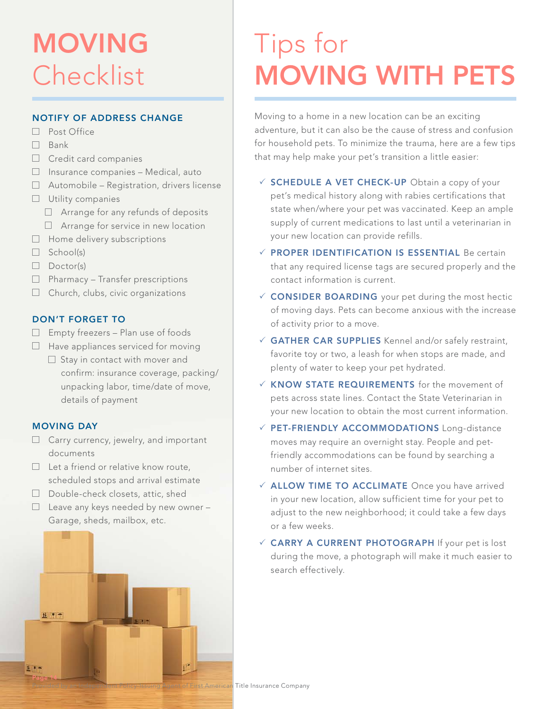# MOVING Checklist

# NOTIFY OF ADDRESS CHANGE

- □ Post Office
- $\Box$  Bank
- $\Box$  Credit card companies
- $\Box$  Insurance companies Medical, auto
- $\Box$  Automobile Registration, drivers license
- $\Box$  Utility companies
	- $\Box$  Arrange for any refunds of deposits
	- □ Arrange for service in new location
- $\Box$  Home delivery subscriptions
- $\Box$  School(s)
- $\Box$  Doctor(s)
- $\Box$  Pharmacy Transfer prescriptions
- $\Box$  Church, clubs, civic organizations

## DON'T FORGET TO

- $\Box$  Empty freezers Plan use of foods
- $\Box$  Have appliances serviced for moving
	- $\Box$  Stay in contact with mover and confirm: insurance coverage, packing/ unpacking labor, time/date of move, details of payment

## MOVING DAY

- $\Box$  Carry currency, jewelry, and important documents
- $\Box$  Let a friend or relative know route, scheduled stops and arrival estimate
- $\Box$  Double-check closets, attic, shed
- $\Box$  Leave any keys needed by new owner -Garage, sheds, mailbox, etc.



# Tips for MOVING WITH PETS

Moving to a home in a new location can be an exciting adventure, but it can also be the cause of stress and confusion for household pets. To minimize the trauma, here are a few tips that may help make your pet's transition a little easier:

- $\checkmark$  SCHEDULE A VET CHECK-UP Obtain a copy of your pet's medical history along with rabies certifications that state when/where your pet was vaccinated. Keep an ample supply of current medications to last until a veterinarian in your new location can provide refills.
- $\checkmark$  PROPER IDENTIFICATION IS ESSENTIAL Be certain that any required license tags are secured properly and the contact information is current.
- $\checkmark$  CONSIDER BOARDING your pet during the most hectic of moving days. Pets can become anxious with the increase of activity prior to a move.
- $\checkmark$  GATHER CAR SUPPLIES Kennel and/or safely restraint, favorite toy or two, a leash for when stops are made, and plenty of water to keep your pet hydrated.
- $\times$  KNOW STATE REQUIREMENTS for the movement of pets across state lines. Contact the State Veterinarian in your new location to obtain the most current information.
- $\checkmark$  PET-FRIENDLY ACCOMMODATIONS Long-distance moves may require an overnight stay. People and petfriendly accommodations can be found by searching a number of internet sites.
- $\checkmark$  ALLOW TIME TO ACCLIMATE Once you have arrived in your new location, allow sufficient time for your pet to adjust to the new neighborhood; it could take a few days or a few weeks.
- $\checkmark$  CARRY A CURRENT PHOTOGRAPH If your pet is lost during the move, a photograph will make it much easier to search effectively.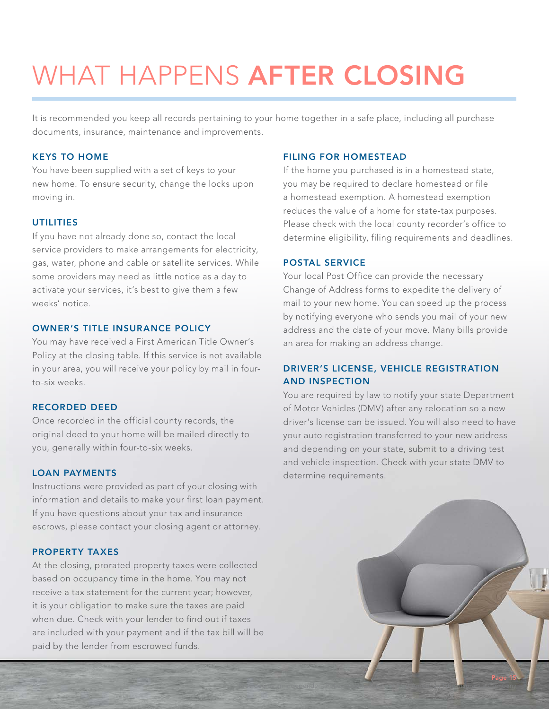# WHAT HAPPENS AFTER CLOSING

It is recommended you keep all records pertaining to your home together in a safe place, including all purchase documents, insurance, maintenance and improvements.

### KEYS TO HOME

You have been supplied with a set of keys to your new home. To ensure security, change the locks upon moving in.

# UTILITIES

If you have not already done so, contact the local service providers to make arrangements for electricity, gas, water, phone and cable or satellite services. While some providers may need as little notice as a day to activate your services, it's best to give them a few weeks' notice.

#### OWNER'S TITLE INSURANCE POLICY

You may have received a First American Title Owner's Policy at the closing table. If this service is not available in your area, you will receive your policy by mail in fourto-six weeks.

### RECORDED DEED

Once recorded in the official county records, the original deed to your home will be mailed directly to you, generally within four-to-six weeks.

### LOAN PAYMENTS

Instructions were provided as part of your closing with information and details to make your first loan payment. If you have questions about your tax and insurance escrows, please contact your closing agent or attorney.

### PROPERTY TAXES

At the closing, prorated property taxes were collected based on occupancy time in the home. You may not receive a tax statement for the current year; however, it is your obligation to make sure the taxes are paid when due. Check with your lender to find out if taxes are included with your payment and if the tax bill will be paid by the lender from escrowed funds.

#### FILING FOR HOMESTEAD

If the home you purchased is in a homestead state, you may be required to declare homestead or file a homestead exemption. A homestead exemption reduces the value of a home for state-tax purposes. Please check with the local county recorder's office to determine eligibility, filing requirements and deadlines.

### POSTAL SERVICE

Your local Post Office can provide the necessary Change of Address forms to expedite the delivery of mail to your new home. You can speed up the process by notifying everyone who sends you mail of your new address and the date of your move. Many bills provide an area for making an address change.

# DRIVER'S LICENSE, VEHICLE REGISTRATION AND INSPECTION

You are required by law to notify your state Department of Motor Vehicles (DMV) after any relocation so a new driver's license can be issued. You will also need to have your auto registration transferred to your new address and depending on your state, submit to a driving test and vehicle inspection. Check with your state DMV to determine requirements.

Provided by an Independent Policy-Issuing Agent of First American Title Insurance Company

Page 15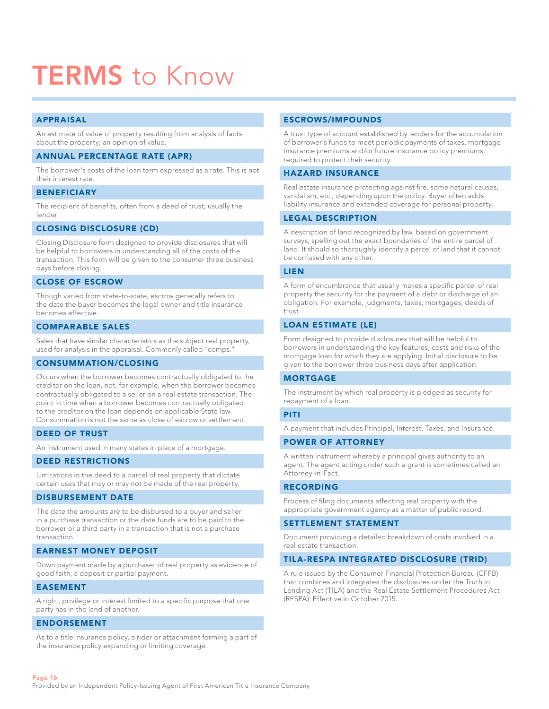# **TERMS** to Know

#### APPRAISAL

An estimate of value of property resulting from analysis of facts about the property; an opinion of value.

#### ANNUAL PERCENTAGE RATE (APR)

The borrower's costs of the loan term expressed as a rate. This is not their interest rate.

#### **BENEFICIARY**

The recipient of benefits, often from a deed of trust; usually the lender.

#### CLOSING DISCLOSURE (CD)

Closing Disclosure form designed to provide disclosures that will be helpful to borrowers in understanding all of the costs of the transaction. This form will be given to the consumer three business days before closing.

#### CLOSE OF ESCROW

Though varied from state-to-state, escrow generally refers to the date the buyer becomes the legal owner and title insurance becomes effective.

#### COMPARABLE SALES

Sales that have similar characteristics as the subject real property, used for analysis in the appraisal. Commonly called "comps."

#### CONSUMMATION/CLOSING

Occurs when the borrower becomes contractually obligated to the creditor on the loan, not, for example, when the borrower becomes contractually obligated to a seller on a real estate transaction. The point in time when a borrower becomes contractually obligated to the creditor on the loan depends on applicable State law. Consummation is not the same as close of escrow or settlement.

#### DEED OF TRUST

An instrument used in many states in place of a mortgage.

#### DEED RESTRICTIONS

Limitations in the deed to a parcel of real property that dictate certain uses that may or may not be made of the real property.

#### DISBURSEMENT DATE

The date the amounts are to be disbursed to a buyer and seller in a purchase transaction or the date funds are to be paid to the borrower or a third party in a transaction that is not a purchase transaction.

#### EARNEST MONEY DEPOSIT

Down payment made by a purchaser of real property as evidence of good faith; a deposit or partial payment.

#### EASEMENT

A right, privilege or interest limited to a specific purpose that one party has in the land of another.

#### ENDORSEMENT

As to a title insurance policy, a rider or attachment forming a part of the insurance policy expanding or limiting coverage.

#### ESCROWS/IMPOUNDS

A trust type of account established by lenders for the accumulation of borrower's funds to meet periodic payments of taxes, mortgage insurance premiums and/or future insurance policy premiums, required to protect their security.

#### HAZARD INSURANCE

Real estate insurance protecting against fire, some natural causes, vandalism, etc., depending upon the policy. Buyer often adds liability insurance and extended coverage for personal property.

#### LEGAL DESCRIPTION

A description of land recognized by law, based on government surveys, spelling out the exact boundaries of the entire parcel of land. It should so thoroughly identify a parcel of land that it cannot be confused with any other.

#### LIEN

A form of encumbrance that usually makes a specific parcel of real property the security for the payment of a debt or discharge of an obligation. For example, judgments, taxes, mortgages, deeds of trust.

#### LOAN ESTIMATE (LE)

Form designed to provide disclosures that will be helpful to borrowers in understanding the key features, costs and risks of the mortgage loan for which they are applying. Initial disclosure to be given to the borrower three business days after application.

#### MORTGAGE

The instrument by which real property is pledged as security for repayment of a loan.

#### PITI

A payment that includes Principal, Interest, Taxes, and Insurance.

#### POWER OF ATTORNEY

A written instrument whereby a principal gives authority to an agent. The agent acting under such a grant is sometimes called an Attorney-in-Fact.

#### RECORDING

Process of filing documents affecting real property with the appropriate government agency as a matter of public record.

#### SETTLEMENT STATEMENT

Document providing a detailed breakdown of costs involved in a real estate transaction.

#### TILA-RESPA INTEGRATED DISCLOSURE (TRID)

A rule issued by the Consumer Financial Protection Bureau (CFPB) that combines and integrates the disclosures under the Truth in Lending Act (TILA) and the Real Estate Settlement Procedures Act (RESPA). Effective in October 2015.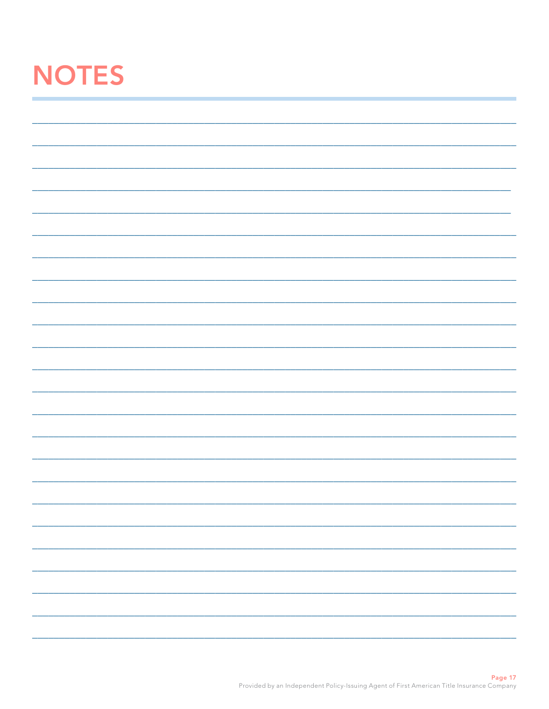# **NOTES**